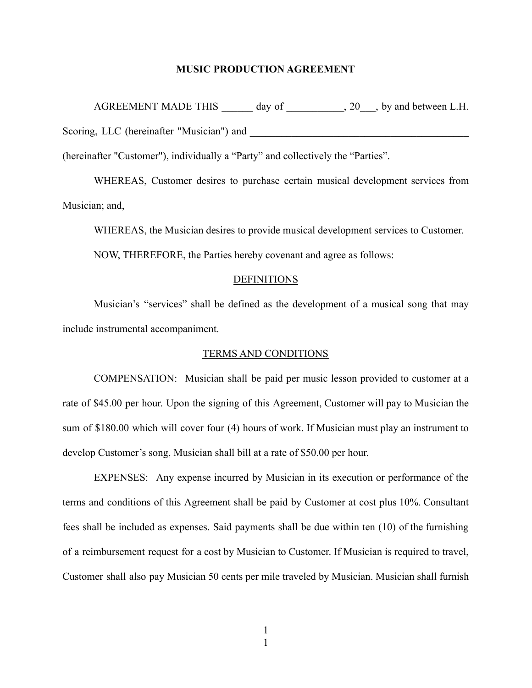## **MUSIC PRODUCTION AGREEMENT**

AGREEMENT MADE THIS day of  $, 20$ , by and between L.H. Scoring, LLC (hereinafter "Musician") and

(hereinafter "Customer"), individually a "Party" and collectively the "Parties".

WHEREAS, Customer desires to purchase certain musical development services from Musician; and,

WHEREAS, the Musician desires to provide musical development services to Customer.

NOW, THEREFORE, the Parties hereby covenant and agree as follows:

## **DEFINITIONS**

Musician's "services" shall be defined as the development of a musical song that may include instrumental accompaniment.

## TERMS AND CONDITIONS

COMPENSATION: Musician shall be paid per music lesson provided to customer at a rate of \$45.00 per hour. Upon the signing of this Agreement, Customer will pay to Musician the sum of \$180.00 which will cover four (4) hours of work. If Musician must play an instrument to develop Customer's song, Musician shall bill at a rate of \$50.00 per hour.

EXPENSES: Any expense incurred by Musician in its execution or performance of the terms and conditions of this Agreement shall be paid by Customer at cost plus 10%. Consultant fees shall be included as expenses. Said payments shall be due within ten (10) of the furnishing of a reimbursement request for a cost by Musician to Customer. If Musician is required to travel, Customer shall also pay Musician 50 cents per mile traveled by Musician. Musician shall furnish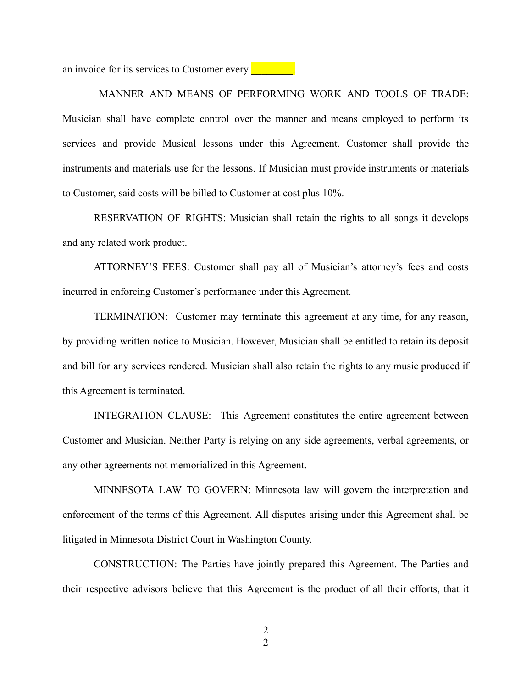an invoice for its services to Customer every

MANNER AND MEANS OF PERFORMING WORK AND TOOLS OF TRADE: Musician shall have complete control over the manner and means employed to perform its services and provide Musical lessons under this Agreement. Customer shall provide the instruments and materials use for the lessons. If Musician must provide instruments or materials to Customer, said costs will be billed to Customer at cost plus 10%.

RESERVATION OF RIGHTS: Musician shall retain the rights to all songs it develops and any related work product.

ATTORNEY'S FEES: Customer shall pay all of Musician's attorney's fees and costs incurred in enforcing Customer's performance under this Agreement.

TERMINATION: Customer may terminate this agreement at any time, for any reason, by providing written notice to Musician. However, Musician shall be entitled to retain its deposit and bill for any services rendered. Musician shall also retain the rights to any music produced if this Agreement is terminated.

INTEGRATION CLAUSE: This Agreement constitutes the entire agreement between Customer and Musician. Neither Party is relying on any side agreements, verbal agreements, or any other agreements not memorialized in this Agreement.

MINNESOTA LAW TO GOVERN: Minnesota law will govern the interpretation and enforcement of the terms of this Agreement. All disputes arising under this Agreement shall be litigated in Minnesota District Court in Washington County.

CONSTRUCTION: The Parties have jointly prepared this Agreement. The Parties and their respective advisors believe that this Agreement is the product of all their efforts, that it